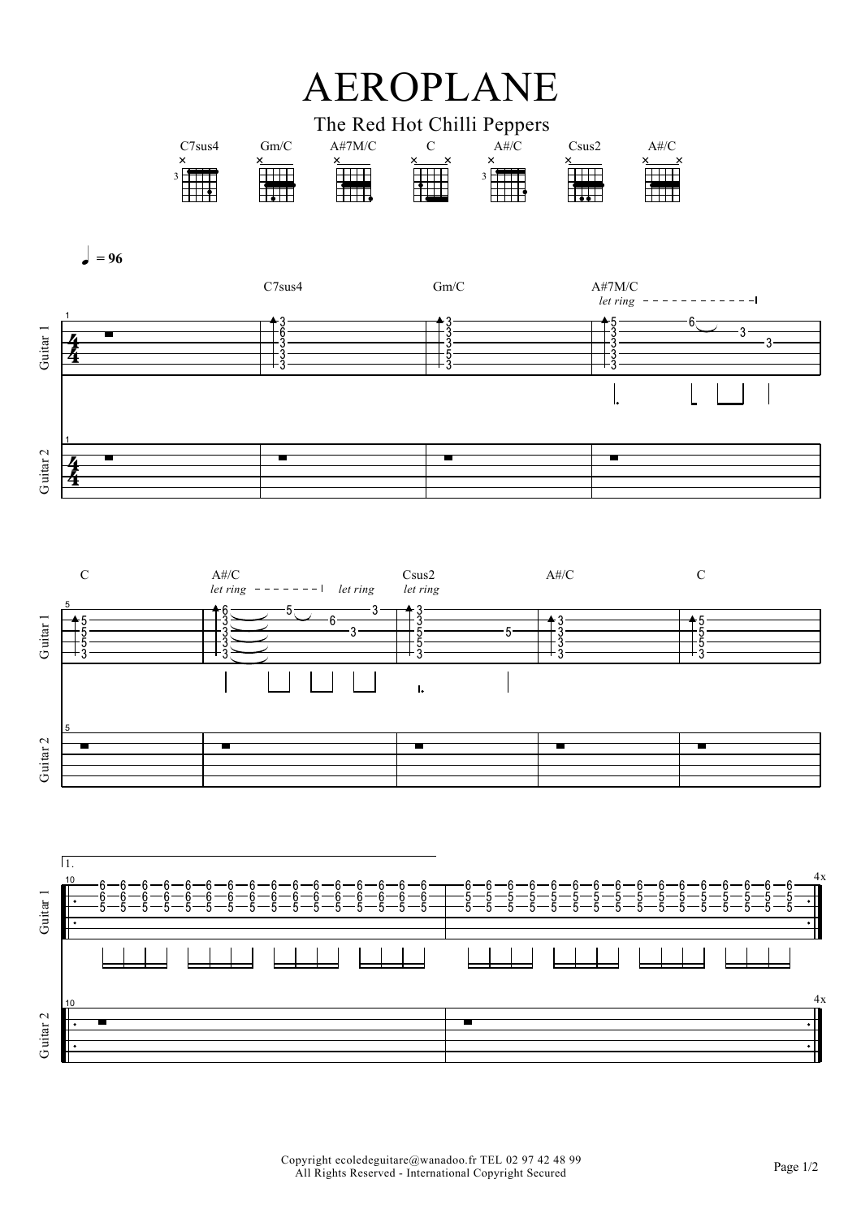## **AEROPLANE**



Guitar 1

Guitar<sub>2</sub>